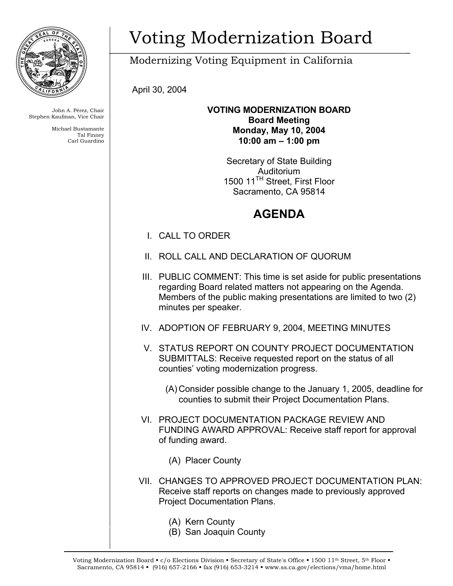

John A. Pérez, Chair Stephen Kaufman, Vice Chair

> Michael Bustamante Tal Finney Carl Guardino

# Voting Modernization Board

Modernizing Voting Equipment in California

April 30, 2004

### **VOTING MODERNIZATION BOARD Board Meeting Monday, May 10, 2004 10:00 am – 1:00 pm**

Secretary of State Building Auditorium 1500 11<sup>TH</sup> Street, First Floor Sacramento, CA 95814

## **AGENDA**

- I. CALL TO ORDER
- II. ROLL CALL AND DECLARATION OF QUORUM
- III. PUBLIC COMMENT: This time is set aside for public presentations regarding Board related matters not appearing on the Agenda. Members of the public making presentations are limited to two (2) minutes per speaker.
- IV. ADOPTION OF FEBRUARY 9, 2004, MEETING MINUTES
- V. STATUS REPORT ON COUNTY PROJECT DOCUMENTATION SUBMITTALS: Receive requested report on the status of all counties' voting modernization progress.
	- (A) Consider possible change to the January 1, 2005, deadline for counties to submit their Project Documentation Plans.
- VI. PROJECT DOCUMENTATION PACKAGE REVIEW AND FUNDING AWARD APPROVAL: Receive staff report for approval of funding award.
	- (A) Placer County
- VII. CHANGES TO APPROVED PROJECT DOCUMENTATION PLAN: Receive staff reports on changes made to previously approved Project Documentation Plans.
	- (A) Kern County
	- (B) San Joaquin County